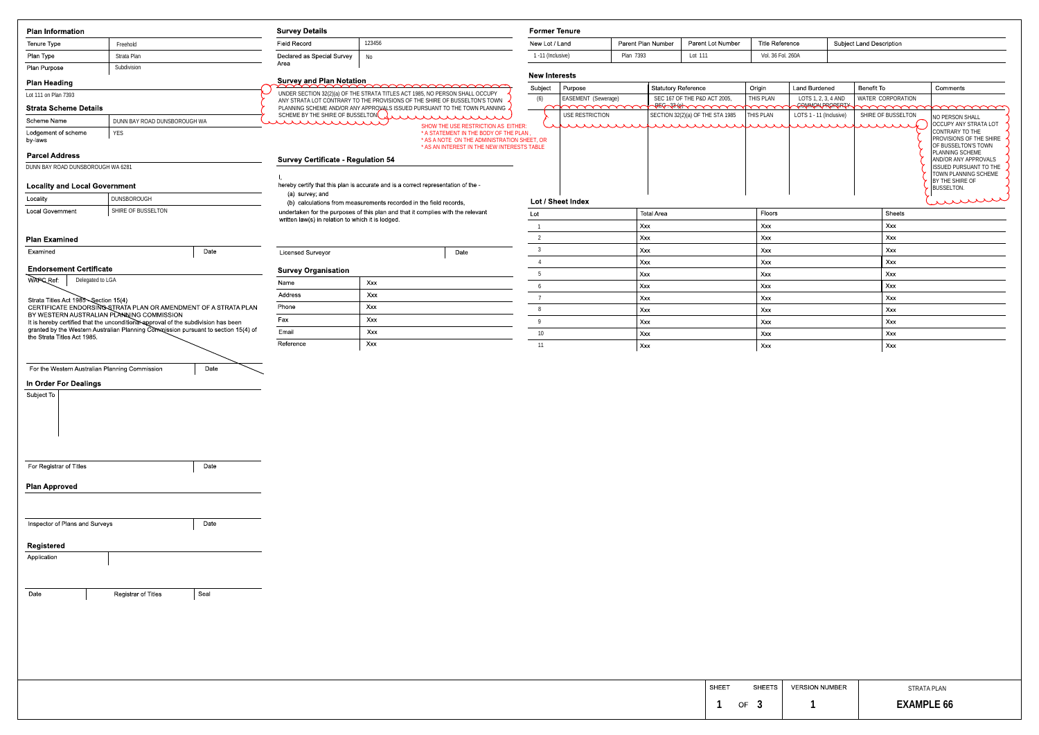| Former Tenure     |                    |                   |                   |                          |
|-------------------|--------------------|-------------------|-------------------|--------------------------|
| New Lot / Land    | Parent Plan Number | Parent Lot Number | Title Reference   | Subject Land Description |
| 1 -11 (Inclusive) | Plan 7393          | Lot 111           | Vol. 36 Fol. 260A |                          |

## terests

| Lot | <b>Total Area</b> | Floors | Sheets |
|-----|-------------------|--------|--------|
|     | Xxx               | Xxx    | Xxx    |
| 2   | Xxx               | Xxx    | Xxx    |
| 3   | Xxx               | Xxx    | Xxx    |
| 4   | Xxx               | Xxx    | Xxx    |
| 5   | Xxx               | Xxx    | Xxx    |
| 6   | Xxx               | Xxx    | Xxx    |
|     | Xxx               | Xxx    | Xxx    |
| 8   | Xxx               | Xxx    | Xxx    |
| 9   | Xxx               | Xxx    | Xxx    |
| 10  | Xxx               | Xxx    | Xxx    |
| 11  | Xxx               | Xxx    | Xxx    |

|                       | 1 -11 (Inclusive)<br>Plan 7393       |  | Lot 111                                                  | Vol. 36 Fol. 260A |                                        |                                |                                                                                                                                                                                                                                                                            |
|-----------------------|--------------------------------------|--|----------------------------------------------------------|-------------------|----------------------------------------|--------------------------------|----------------------------------------------------------------------------------------------------------------------------------------------------------------------------------------------------------------------------------------------------------------------------|
| <b>New Interests</b>  |                                      |  |                                                          |                   |                                        |                                |                                                                                                                                                                                                                                                                            |
| Subject               | Purpose                              |  | <b>Statutory Reference</b>                               | Origin            | Land Burdened                          | Benefit To                     | Comments                                                                                                                                                                                                                                                                   |
| (6)                   | EASEMENT (Sewerage)<br>mmmmm         |  | SEC 167 OF THE P&D ACT 2005,<br><b>AEG-33187 ANY YOU</b> | THIS PLAN         | LOTS 1, 2, 3, 4 AND<br>COMMON PROPERTY | WATER CORPORATION<br>mmmmmmmmm |                                                                                                                                                                                                                                                                            |
| ET, OR<br><b>ABLE</b> | USE RESTRICTION<br>Lot / Sheet Index |  | SECTION 32(2)(a) OF THE STA 1985                         | THIS PLAN         | LOTS 1 - 11 (Inclusive)                | SHIRE OF BUSSELTON             | NO PERSON SHALL<br>OCCUPY ANY STRATA LOT<br>CONTRARY TO THE<br><b>PROVISIONS OF THE SHIRE</b><br>OF BUSSELTON'S TOWN<br>IPLANNING SCHEME<br><b>AND/OR ANY APPROVALS</b><br><b>ISSUED PURSUANT TO THE</b><br>TOWN PLANNING SCHEME<br>BY THE SHIRE OF<br>BUSSELTON.<br>murre |
|                       |                                      |  | $T - 1 - 1$                                              | $F_{\text{max}}$  |                                        | $O1 + 1$                       |                                                                                                                                                                                                                                                                            |

| <b>Plan Information</b>                        |                                                                                                                                                                           | <b>Survey Details</b>                             |                                                                                                                                                         |                      | <b>Former Tenure</b> |                                    |                                  |                        |                                         |                                 |                    |                             |
|------------------------------------------------|---------------------------------------------------------------------------------------------------------------------------------------------------------------------------|---------------------------------------------------|---------------------------------------------------------------------------------------------------------------------------------------------------------|----------------------|----------------------|------------------------------------|----------------------------------|------------------------|-----------------------------------------|---------------------------------|--------------------|-----------------------------|
| Tenure Type                                    | Freehold                                                                                                                                                                  | Field Record                                      | 123456                                                                                                                                                  | New Lot / Land       |                      | Parent Plan Number                 | Parent Lot Number                | <b>Title Reference</b> |                                         | <b>Subject Land Description</b> |                    |                             |
| Plan Type                                      | Strata Plan                                                                                                                                                               | Declared as Special Survey                        | No                                                                                                                                                      | 1 -11 (Inclusive)    |                      | Plan 7393                          | Lot 111                          | Vol. 36 Fol. 260A      |                                         |                                 |                    |                             |
| Plan Purpose                                   | Subdivision                                                                                                                                                               | Area                                              |                                                                                                                                                         |                      |                      |                                    |                                  |                        |                                         |                                 |                    |                             |
| <b>Plan Heading</b>                            |                                                                                                                                                                           | <b>Survey and Plan Notation</b>                   |                                                                                                                                                         | <b>New Interests</b> |                      |                                    |                                  |                        |                                         |                                 |                    |                             |
| Lot 111 on Plan 7393                           |                                                                                                                                                                           |                                                   | <u>mmmmmmmmm</u><br>UNDER SECTION 32(2)(a) OF THE STRATA TITLES ACT 1985, NO PERSON SHALL OCCUPY                                                        | Subject              | Purpose              | Statutory Reference                |                                  | Origin                 | <b>Land Burdened</b>                    | Benefit To                      |                    | Cor                         |
|                                                |                                                                                                                                                                           |                                                   | ANY STRATA LOT CONTRARY TO THE PROVISIONS OF THE SHIRE OF BUSSELTON'S TOWN<br>PLANNING SCHEME AND/OR ANY APPROVALS ISSUED PURSUANT TO THE TOWN PLANNING | (6)                  | EASEMENT (Sewerage)  |                                    | SEC 167 OF THE P&D ACT 2005,     | THIS PLAN<br>mmm       | LOTS 1, 2, 3, 4 AND<br>-GOUMMONPROPERTY | WATER CORPORATION               |                    |                             |
| <b>Strata Scheme Details</b>                   |                                                                                                                                                                           |                                                   | SCHEME BY THE SHIRE OF BUSSELTON ANNOLL AND AND AND AND AND                                                                                             |                      | USE RESTRICTION      |                                    | SECTION 32(2)(a) OF THE STA 1985 | THIS PLAN              | LOTS 1 - 11 (Inclusive)                 | SHIRE OF BUSSELTON              |                    | NO <sub>P</sub>             |
| Scheme Name                                    | DUNN BAY ROAD DUNSBOROUGH WA                                                                                                                                              | munumun                                           | SHOW THE USE RESTRICTION AS EITHER:                                                                                                                     |                      |                      | <u>ununununununununun</u>          |                                  |                        | <i>www.murrowk</i>                      |                                 |                    | occl                        |
| Lodgement of scheme<br>by-laws                 | YES                                                                                                                                                                       |                                                   | * A STATEMENT IN THE BODY OF THE PLAN<br>* AS A NOTE ON THE ADMINISTRATION SHEET, OR                                                                    |                      |                      |                                    |                                  |                        |                                         |                                 |                    | <b>CON</b><br>PRON<br>OF BI |
|                                                |                                                                                                                                                                           |                                                   | * AS AN INTEREST IN THE NEW INTERESTS TABLE                                                                                                             |                      |                      |                                    |                                  |                        |                                         |                                 |                    | PLAN                        |
| <b>Parcel Address</b>                          |                                                                                                                                                                           | <b>Survey Certificate - Regulation 54</b>         |                                                                                                                                                         |                      |                      |                                    |                                  |                        |                                         |                                 |                    | AND/                        |
| DUNN BAY ROAD DUNSBOROUGH WA 6281              |                                                                                                                                                                           |                                                   |                                                                                                                                                         |                      |                      |                                    |                                  |                        |                                         |                                 |                    | <b>ISSU</b><br>TOWI         |
| <b>Locality and Local Government</b>           |                                                                                                                                                                           |                                                   | hereby certify that this plan is accurate and is a correct representation of the -                                                                      |                      |                      |                                    |                                  |                        |                                         |                                 |                    | <b>BY TH</b><br><b>BUSS</b> |
| Locality                                       | DUNSBOROUGH                                                                                                                                                               | (a) survey, and                                   |                                                                                                                                                         |                      |                      |                                    |                                  |                        |                                         |                                 |                    |                             |
| <b>Local Government</b>                        | SHIRE OF BUSSELTON                                                                                                                                                        |                                                   | (b) calculations from measurements recorded in the field records,<br>undertaken for the purposes of this plan and that it complies with the relevant    |                      | Lot / Sheet Index    |                                    |                                  |                        |                                         |                                 |                    |                             |
|                                                |                                                                                                                                                                           | written law(s) in relation to which it is lodged. |                                                                                                                                                         | Lot                  |                      | <b>Total Area</b>                  |                                  | Floors                 |                                         | Sheets                          |                    |                             |
|                                                |                                                                                                                                                                           |                                                   |                                                                                                                                                         |                      |                      | Xxx                                |                                  | Xxx                    |                                         | Xxx                             |                    |                             |
| <b>Plan Examined</b>                           |                                                                                                                                                                           |                                                   |                                                                                                                                                         |                      |                      | Xxx                                |                                  | Xxx                    |                                         | Xxx                             |                    |                             |
| Examined                                       | Date                                                                                                                                                                      | <b>Licensed Surveyor</b>                          | Date                                                                                                                                                    |                      |                      | Xxx                                |                                  | Xxx                    |                                         | Xxx                             |                    |                             |
| <b>Endorsement Certificate</b>                 |                                                                                                                                                                           | <b>Survey Organisation</b>                        |                                                                                                                                                         |                      |                      | Xxx                                |                                  | Xxx                    |                                         | Xxx                             |                    |                             |
| WAPC Ref:<br>Delegated to LGA                  |                                                                                                                                                                           | Name                                              | Xxx                                                                                                                                                     |                      |                      | Xxx                                |                                  | Xxx                    |                                         | Xxx                             |                    |                             |
|                                                |                                                                                                                                                                           |                                                   |                                                                                                                                                         |                      |                      | $\mathsf{X} \mathsf{X} \mathsf{X}$ |                                  | Xxx                    |                                         | Xxx                             |                    |                             |
| Strata Titles Act 1985 Section 15(4)           |                                                                                                                                                                           | Address                                           | Xxx                                                                                                                                                     |                      |                      | $\mathsf{X} \mathsf{X} \mathsf{X}$ |                                  | Xxx                    |                                         | Xxx                             |                    |                             |
|                                                | CERTIFICATE ENDORSING STRATA PLAN OR AMENDMENT OF A STRATA PLAN<br>BY WESTERN AUSTRALIAN PLANNING COMMISSION                                                              | Phone                                             | Xxx                                                                                                                                                     | 8                    |                      | Xxx                                |                                  | Xxx                    |                                         | Xxx                             |                    |                             |
|                                                | It is hereby certified that the unconditional approval of the subdivision has been<br>granted by the Western Australian Planning Commutssion pursuant to section 15(4) of | Fax                                               | Xxx                                                                                                                                                     |                      |                      | Xxx                                |                                  | Xxx                    |                                         | Xxx                             |                    |                             |
| the Strata Titles Act 1985.                    |                                                                                                                                                                           | Email                                             | Xxx                                                                                                                                                     | 10 <sup>°</sup>      |                      | $x \times x$                       |                                  | Xxx                    |                                         | Xxx                             |                    |                             |
|                                                |                                                                                                                                                                           | Reference                                         | Xxx                                                                                                                                                     | 11                   |                      | $\vert$ Xxx                        |                                  | Xxx                    |                                         | Xxx                             |                    |                             |
|                                                |                                                                                                                                                                           |                                                   |                                                                                                                                                         |                      |                      |                                    |                                  |                        |                                         |                                 |                    |                             |
| For the Western Australian Planning Commission | Date                                                                                                                                                                      |                                                   |                                                                                                                                                         |                      |                      |                                    |                                  |                        |                                         |                                 |                    |                             |
| In Order For Dealings                          |                                                                                                                                                                           |                                                   |                                                                                                                                                         |                      |                      |                                    |                                  |                        |                                         |                                 |                    |                             |
| Subject To                                     |                                                                                                                                                                           |                                                   |                                                                                                                                                         |                      |                      |                                    |                                  |                        |                                         |                                 |                    |                             |
|                                                |                                                                                                                                                                           |                                                   |                                                                                                                                                         |                      |                      |                                    |                                  |                        |                                         |                                 |                    |                             |
|                                                |                                                                                                                                                                           |                                                   |                                                                                                                                                         |                      |                      |                                    |                                  |                        |                                         |                                 |                    |                             |
|                                                |                                                                                                                                                                           |                                                   |                                                                                                                                                         |                      |                      |                                    |                                  |                        |                                         |                                 |                    |                             |
|                                                |                                                                                                                                                                           |                                                   |                                                                                                                                                         |                      |                      |                                    |                                  |                        |                                         |                                 |                    |                             |
|                                                |                                                                                                                                                                           |                                                   |                                                                                                                                                         |                      |                      |                                    |                                  |                        |                                         |                                 |                    |                             |
| For Registrar of Titles                        | Date                                                                                                                                                                      |                                                   |                                                                                                                                                         |                      |                      |                                    |                                  |                        |                                         |                                 |                    |                             |
|                                                |                                                                                                                                                                           |                                                   |                                                                                                                                                         |                      |                      |                                    |                                  |                        |                                         |                                 |                    |                             |
| <b>Plan Approved</b>                           |                                                                                                                                                                           |                                                   |                                                                                                                                                         |                      |                      |                                    |                                  |                        |                                         |                                 |                    |                             |
|                                                |                                                                                                                                                                           |                                                   |                                                                                                                                                         |                      |                      |                                    |                                  |                        |                                         |                                 |                    |                             |
|                                                |                                                                                                                                                                           |                                                   |                                                                                                                                                         |                      |                      |                                    |                                  |                        |                                         |                                 |                    |                             |
| Inspector of Plans and Surveys                 | Date                                                                                                                                                                      |                                                   |                                                                                                                                                         |                      |                      |                                    |                                  |                        |                                         |                                 |                    |                             |
|                                                |                                                                                                                                                                           |                                                   |                                                                                                                                                         |                      |                      |                                    |                                  |                        |                                         |                                 |                    |                             |
| Registered                                     |                                                                                                                                                                           |                                                   |                                                                                                                                                         |                      |                      |                                    |                                  |                        |                                         |                                 |                    |                             |
| Application                                    |                                                                                                                                                                           |                                                   |                                                                                                                                                         |                      |                      |                                    |                                  |                        |                                         |                                 |                    |                             |
|                                                |                                                                                                                                                                           |                                                   |                                                                                                                                                         |                      |                      |                                    |                                  |                        |                                         |                                 |                    |                             |
|                                                |                                                                                                                                                                           |                                                   |                                                                                                                                                         |                      |                      |                                    |                                  |                        |                                         |                                 |                    |                             |
| Date                                           | Seal<br><b>Registrar of Titles</b>                                                                                                                                        |                                                   |                                                                                                                                                         |                      |                      |                                    |                                  |                        |                                         |                                 |                    |                             |
|                                                |                                                                                                                                                                           |                                                   |                                                                                                                                                         |                      |                      |                                    |                                  |                        |                                         |                                 |                    |                             |
|                                                |                                                                                                                                                                           |                                                   |                                                                                                                                                         |                      |                      |                                    |                                  |                        |                                         |                                 |                    |                             |
|                                                |                                                                                                                                                                           |                                                   |                                                                                                                                                         |                      |                      |                                    |                                  |                        |                                         |                                 |                    |                             |
|                                                |                                                                                                                                                                           |                                                   |                                                                                                                                                         |                      |                      |                                    |                                  |                        |                                         |                                 |                    |                             |
|                                                |                                                                                                                                                                           |                                                   |                                                                                                                                                         |                      |                      |                                    |                                  |                        |                                         |                                 |                    |                             |
|                                                |                                                                                                                                                                           |                                                   |                                                                                                                                                         |                      |                      |                                    |                                  |                        |                                         |                                 |                    |                             |
|                                                |                                                                                                                                                                           |                                                   |                                                                                                                                                         |                      |                      |                                    |                                  |                        |                                         |                                 |                    |                             |
|                                                |                                                                                                                                                                           |                                                   |                                                                                                                                                         |                      |                      |                                    | <b>SHEET</b>                     | <b>SHEETS</b>          | <b>VERSION NUMBER</b>                   |                                 | <b>STRATA PLAN</b> |                             |
|                                                |                                                                                                                                                                           |                                                   |                                                                                                                                                         |                      |                      |                                    |                                  |                        |                                         |                                 |                    |                             |
|                                                |                                                                                                                                                                           |                                                   |                                                                                                                                                         |                      |                      |                                    |                                  | OF $3$                 |                                         |                                 | EXAMPLE 6          |                             |

| <b>SHEET</b> | <b>SHEETS</b> | <b>VERSION NUMBER</b> | <b>STRATA PLAN</b> |
|--------------|---------------|-----------------------|--------------------|
|              | <b>OF</b>     |                       | <b>EXAMPLE 66</b>  |